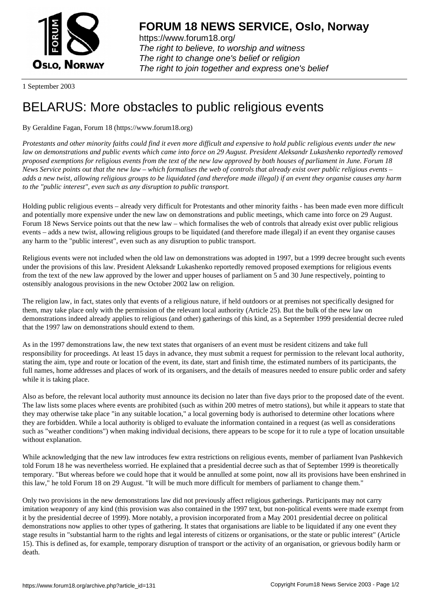

https://www.forum18.org/ The right to believe, to worship and witness The right to change one's belief or religion [The right to join together a](https://www.forum18.org/)nd express one's belief

1 September 2003

## [BELARUS: Mor](https://www.forum18.org)e obstacles to public religious events

## By Geraldine Fagan, Forum 18 (https://www.forum18.org)

*Protestants and other minority faiths could find it even more difficult and expensive to hold public religious events under the new law on demonstrations and public events which came into force on 29 August. President Aleksandr Lukashenko reportedly removed proposed exemptions for religious events from the text of the new law approved by both houses of parliament in June. Forum 18 News Service points out that the new law – which formalises the web of controls that already exist over public religious events – adds a new twist, allowing religious groups to be liquidated (and therefore made illegal) if an event they organise causes any harm to the "public interest", even such as any disruption to public transport.*

Holding public religious events – already very difficult for Protestants and other minority faiths - has been made even more difficult and potentially more expensive under the new law on demonstrations and public meetings, which came into force on 29 August. Forum 18 News Service points out that the new law – which formalises the web of controls that already exist over public religious events – adds a new twist, allowing religious groups to be liquidated (and therefore made illegal) if an event they organise causes any harm to the "public interest", even such as any disruption to public transport.

Religious events were not included when the old law on demonstrations was adopted in 1997, but a 1999 decree brought such events under the provisions of this law. President Aleksandr Lukashenko reportedly removed proposed exemptions for religious events from the text of the new law approved by the lower and upper houses of parliament on 5 and 30 June respectively, pointing to ostensibly analogous provisions in the new October 2002 law on religion.

The religion law, in fact, states only that events of a religious nature, if held outdoors or at premises not specifically designed for them, may take place only with the permission of the relevant local authority (Article 25). But the bulk of the new law on demonstrations indeed already applies to religious (and other) gatherings of this kind, as a September 1999 presidential decree ruled that the 1997 law on demonstrations should extend to them.

As in the 1997 demonstrations law, the new text states that organisers of an event must be resident citizens and take full responsibility for proceedings. At least 15 days in advance, they must submit a request for permission to the relevant local authority, stating the aim, type and route or location of the event, its date, start and finish time, the estimated numbers of its participants, the full names, home addresses and places of work of its organisers, and the details of measures needed to ensure public order and safety while it is taking place.

Also as before, the relevant local authority must announce its decision no later than five days prior to the proposed date of the event. The law lists some places where events are prohibited (such as within 200 metres of metro stations), but while it appears to state that they may otherwise take place "in any suitable location," a local governing body is authorised to determine other locations where they are forbidden. While a local authority is obliged to evaluate the information contained in a request (as well as considerations such as "weather conditions") when making individual decisions, there appears to be scope for it to rule a type of location unsuitable without explanation.

While acknowledging that the new law introduces few extra restrictions on religious events, member of parliament Ivan Pashkevich told Forum 18 he was nevertheless worried. He explained that a presidential decree such as that of September 1999 is theoretically temporary. "But whereas before we could hope that it would be annulled at some point, now all its provisions have been enshrined in this law," he told Forum 18 on 29 August. "It will be much more difficult for members of parliament to change them."

Only two provisions in the new demonstrations law did not previously affect religious gatherings. Participants may not carry imitation weaponry of any kind (this provision was also contained in the 1997 text, but non-political events were made exempt from it by the presidential decree of 1999). More notably, a provision incorporated from a May 2001 presidential decree on political demonstrations now applies to other types of gathering. It states that organisations are liable to be liquidated if any one event they stage results in "substantial harm to the rights and legal interests of citizens or organisations, or the state or public interest" (Article 15). This is defined as, for example, temporary disruption of transport or the activity of an organisation, or grievous bodily harm or death.